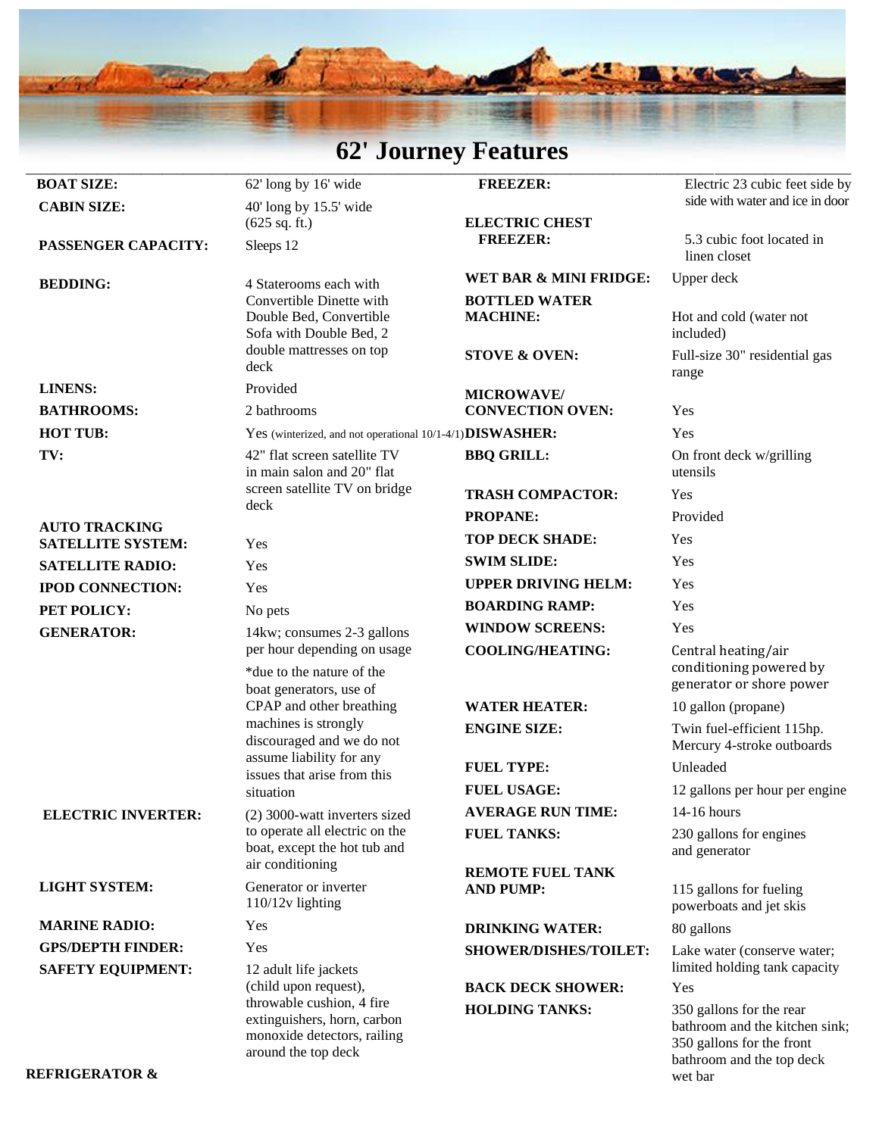# **62' Journey Features**

|                           | $V = VV + IV$                                                                                                                             | <b>T</b> CHAME CD                        |                                                                                         |
|---------------------------|-------------------------------------------------------------------------------------------------------------------------------------------|------------------------------------------|-----------------------------------------------------------------------------------------|
| <b>BOAT SIZE:</b>         | 62' long by 16' wide                                                                                                                      | <b>FREEZER:</b>                          | Electric 23 cubic feet side by                                                          |
| <b>CABIN SIZE:</b>        | $40'$ long by 15.5' wide                                                                                                                  |                                          | side with water and ice in door                                                         |
|                           | $(625 \text{ sq. ft.})$                                                                                                                   | <b>ELECTRIC CHEST</b><br><b>FREEZER:</b> | 5.3 cubic foot located in                                                               |
| PASSENGER CAPACITY:       | Sleeps 12                                                                                                                                 |                                          | linen closet                                                                            |
| <b>BEDDING:</b>           | 4 Staterooms each with                                                                                                                    | WET BAR & MINI FRIDGE:                   | Upper deck                                                                              |
|                           | Convertible Dinette with                                                                                                                  | <b>BOTTLED WATER</b>                     |                                                                                         |
|                           | Double Bed, Convertible<br>Sofa with Double Bed, 2                                                                                        | <b>MACHINE:</b>                          | Hot and cold (water not<br>included)                                                    |
|                           | double mattresses on top                                                                                                                  | <b>STOVE &amp; OVEN:</b>                 | Full-size 30" residential gas                                                           |
|                           | deck                                                                                                                                      |                                          | range                                                                                   |
| <b>LINENS:</b>            | Provided                                                                                                                                  | <b>MICROWAVE/</b>                        |                                                                                         |
| <b>BATHROOMS:</b>         | 2 bathrooms                                                                                                                               | <b>CONVECTION OVEN:</b>                  | Yes                                                                                     |
| <b>HOT TUB:</b>           | Yes (winterized, and not operational 10/1-4/1) DISWASHER:                                                                                 |                                          | Yes                                                                                     |
| TV:                       | 42" flat screen satellite TV                                                                                                              | <b>BBQ GRILL:</b>                        | On front deck w/grilling                                                                |
|                           | in main salon and 20" flat<br>screen satellite TV on bridge                                                                               |                                          | utensils                                                                                |
|                           | deck                                                                                                                                      | <b>TRASH COMPACTOR:</b>                  | Yes                                                                                     |
| <b>AUTO TRACKING</b>      |                                                                                                                                           | <b>PROPANE:</b>                          | Provided                                                                                |
| <b>SATELLITE SYSTEM:</b>  | Yes                                                                                                                                       | <b>TOP DECK SHADE:</b>                   | Yes                                                                                     |
| <b>SATELLITE RADIO:</b>   | Yes                                                                                                                                       | <b>SWIM SLIDE:</b>                       | Yes                                                                                     |
| <b>IPOD CONNECTION:</b>   | Yes                                                                                                                                       | <b>UPPER DRIVING HELM:</b>               | Yes                                                                                     |
| PET POLICY:               | No pets                                                                                                                                   | <b>BOARDING RAMP:</b>                    | Yes                                                                                     |
| <b>GENERATOR:</b>         | 14kw; consumes 2-3 gallons<br>per hour depending on usage                                                                                 | <b>WINDOW SCREENS:</b>                   | Yes                                                                                     |
|                           |                                                                                                                                           | <b>COOLING/HEATING:</b>                  | Central heating/air                                                                     |
|                           | *due to the nature of the                                                                                                                 |                                          | conditioning powered by<br>generator or shore power                                     |
|                           | boat generators, use of<br>CPAP and other breathing                                                                                       | <b>WATER HEATER:</b>                     | 10 gallon (propane)                                                                     |
|                           | machines is strongly                                                                                                                      | <b>ENGINE SIZE:</b>                      | Twin fuel-efficient 115hp.                                                              |
|                           | discouraged and we do not                                                                                                                 |                                          | Mercury 4-stroke outboards                                                              |
|                           | assume liability for any<br>issues that arise from this                                                                                   | <b>FUEL TYPE:</b>                        | Unleaded                                                                                |
|                           | situation                                                                                                                                 | <b>FUEL USAGE:</b>                       | 12 gallons per hour per engine                                                          |
| <b>ELECTRIC INVERTER:</b> | (2) 3000-watt inverters sized                                                                                                             | <b>AVERAGE RUN TIME:</b>                 | 14-16 hours                                                                             |
|                           | to operate all electric on the                                                                                                            | <b>FUEL TANKS:</b>                       | 230 gallons for engines                                                                 |
|                           | boat, except the hot tub and                                                                                                              |                                          | and generator                                                                           |
|                           | air conditioning                                                                                                                          | <b>REMOTE FUEL TANK</b>                  |                                                                                         |
| <b>LIGHT SYSTEM:</b>      | Generator or inverter<br>$110/12v$ lighting                                                                                               | <b>AND PUMP:</b>                         | 115 gallons for fueling<br>powerboats and jet skis                                      |
| <b>MARINE RADIO:</b>      | Yes                                                                                                                                       | <b>DRINKING WATER:</b>                   | 80 gallons                                                                              |
| <b>GPS/DEPTH FINDER:</b>  | Yes                                                                                                                                       | <b>SHOWER/DISHES/TOILET:</b>             | Lake water (conserve water;                                                             |
| <b>SAFETY EQUIPMENT:</b>  | 12 adult life jackets<br>(child upon request),<br>throwable cushion, 4 fire<br>extinguishers, horn, carbon<br>monoxide detectors, railing |                                          | limited holding tank capacity                                                           |
|                           |                                                                                                                                           | <b>BACK DECK SHOWER:</b>                 | Yes                                                                                     |
|                           |                                                                                                                                           | <b>HOLDING TANKS:</b>                    | 350 gallons for the rear<br>bathroom and the kitchen sink;<br>350 gallons for the front |
|                           | around the top deck                                                                                                                       |                                          | bathroom and the top deck                                                               |

wet bar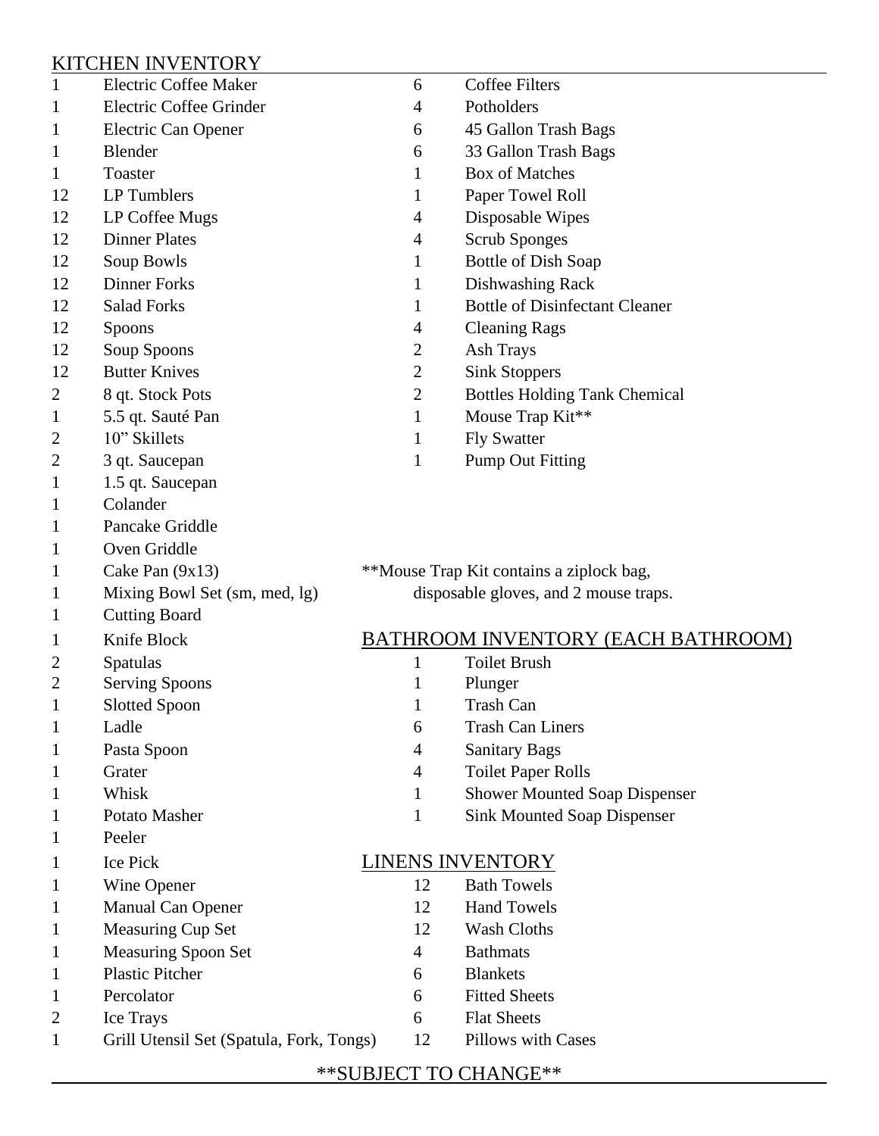### KITCHEN INVENTORY

| 1              | <b>Electric Coffee Maker</b>             | 6                                         | <b>Coffee Filters</b>                 |
|----------------|------------------------------------------|-------------------------------------------|---------------------------------------|
|                | Electric Coffee Grinder                  | 4                                         | Potholders                            |
| 1              | Electric Can Opener                      | 6                                         | 45 Gallon Trash Bags                  |
| 1              | Blender                                  | 6                                         | 33 Gallon Trash Bags                  |
| 1              | Toaster                                  | 1                                         | <b>Box of Matches</b>                 |
| 12             | LP Tumblers                              | 1                                         | Paper Towel Roll                      |
| 12             | LP Coffee Mugs                           | 4                                         | Disposable Wipes                      |
| 12             | <b>Dinner Plates</b>                     | 4                                         | <b>Scrub Sponges</b>                  |
| 12             | Soup Bowls                               | 1                                         | <b>Bottle of Dish Soap</b>            |
| 12             | <b>Dinner Forks</b>                      | 1                                         | Dishwashing Rack                      |
| 12             | <b>Salad Forks</b>                       | 1                                         | <b>Bottle of Disinfectant Cleaner</b> |
| 12             | Spoons                                   | $\overline{4}$                            | <b>Cleaning Rags</b>                  |
| 12             | Soup Spoons                              | 2                                         | Ash Trays                             |
| 12             | <b>Butter Knives</b>                     | $\overline{2}$                            | <b>Sink Stoppers</b>                  |
| 2              | 8 qt. Stock Pots                         | $\mathbf{2}$                              | <b>Bottles Holding Tank Chemical</b>  |
| 1              | 5.5 qt. Sauté Pan                        | 1                                         | Mouse Trap Kit**                      |
| 2              | 10" Skillets                             | $\mathbf{1}$                              | <b>Fly Swatter</b>                    |
| 2              | 3 qt. Saucepan                           | 1                                         | <b>Pump Out Fitting</b>               |
| 1              | 1.5 qt. Saucepan                         |                                           |                                       |
|                | Colander                                 |                                           |                                       |
| 1              | Pancake Griddle                          |                                           |                                       |
|                | Oven Griddle                             |                                           |                                       |
| 1              | Cake Pan $(9x13)$                        | **Mouse Trap Kit contains a ziplock bag,  |                                       |
|                | Mixing Bowl Set (sm, med, lg)            | disposable gloves, and 2 mouse traps.     |                                       |
| 1              | <b>Cutting Board</b>                     |                                           |                                       |
| 1              | Knife Block                              | <b>BATHROOM INVENTORY (EACH BATHROOM)</b> |                                       |
| 2              | Spatulas                                 | 1                                         | <b>Toilet Brush</b>                   |
| $\overline{2}$ | <b>Serving Spoons</b>                    | 1                                         | Plunger                               |
| 1              | <b>Slotted Spoon</b>                     | 1                                         | <b>Trash Can</b>                      |
| 1              | Ladle                                    | 6                                         | <b>Trash Can Liners</b>               |
|                | Pasta Spoon                              | $\overline{4}$                            | <b>Sanitary Bags</b>                  |
|                | Grater                                   | $\overline{4}$                            | <b>Toilet Paper Rolls</b>             |
| 1              | Whisk                                    | $\mathbf{1}$                              | <b>Shower Mounted Soap Dispenser</b>  |
|                | Potato Masher                            | $\mathbf{1}$                              | <b>Sink Mounted Soap Dispenser</b>    |
|                | Peeler                                   |                                           |                                       |
| 1              | Ice Pick                                 |                                           | <b>LINENS INVENTORY</b>               |
|                | Wine Opener                              | 12                                        | <b>Bath Towels</b>                    |
|                | Manual Can Opener                        | 12                                        | <b>Hand Towels</b>                    |
|                | Measuring Cup Set                        | 12                                        | Wash Cloths                           |
|                | Measuring Spoon Set                      | $\overline{4}$                            | <b>Bathmats</b>                       |
|                | <b>Plastic Pitcher</b>                   | 6                                         | <b>Blankets</b>                       |
|                | Percolator                               | 6                                         | <b>Fitted Sheets</b>                  |
| 2              | Ice Trays                                | 6                                         | <b>Flat Sheets</b>                    |
| 1              | Grill Utensil Set (Spatula, Fork, Tongs) | 12                                        | Pillows with Cases                    |
|                |                                          |                                           |                                       |